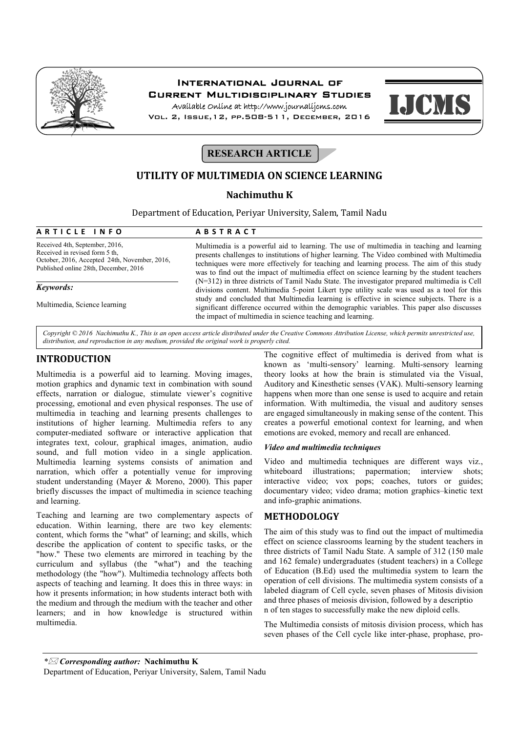

# International Journal of Current Multidisciplinary Studies

Available Online at http://www.journalijcms.com Vol. 2, Issue,12, pp.508-511, December, 2016



**RESEARCH ARTICLE** 

# **UTILITY OF MULTIMEDIA ON SCIENCE LEARNING**

## **Nachimuthu K**

Department of Education, Periyar University, Salem, Tamil Nadu

| ARTICLE INFO                                                                                                                                               | <b>ABSTRACT</b>                                                                                                                                                                                                                                                                                                                                                                    |
|------------------------------------------------------------------------------------------------------------------------------------------------------------|------------------------------------------------------------------------------------------------------------------------------------------------------------------------------------------------------------------------------------------------------------------------------------------------------------------------------------------------------------------------------------|
| Received 4th, September, 2016,<br>Received in revised form 5 th.<br>October, 2016, Accepted 24th, November, 2016,<br>Published online 28th, December, 2016 | Multimedia is a powerful aid to learning. The use of multimedia in teaching and learning<br>presents challenges to institutions of higher learning. The Video combined with Multimedia<br>techniques were more effectively for teaching and learning process. The aim of this study<br>was to find out the impact of multimedia effect on science learning by the student teachers |
| Keywords:                                                                                                                                                  | $(N=312)$ in three districts of Tamil Nadu State. The investigator prepared multimedia is Cell<br>divisions content. Multimedia 5-point Likert type utility scale was used as a tool for this                                                                                                                                                                                      |
| Multimedia, Science learning                                                                                                                               | study and concluded that Multimedia learning is effective in science subjects. There is a<br>significant difference occurred within the demographic variables. This paper also discusses<br>the impact of multimedia in science teaching and learning.                                                                                                                             |

*Copyright © 2016 Nachimuthu K., This is an open access article distributed under the Creative Commons Attribution License, which permits unrestricted use, distribution, and reproduction in any medium, provided the original work is properly cited.*

# **INTRODUCTION**

Multimedia is a powerful aid to learning. Moving images, motion graphics and dynamic text in combination with sound effects, narration or dialogue, stimulate viewer's cognitive processing, emotional and even physical responses. The use of multimedia in teaching and learning presents challenges to institutions of higher learning. Multimedia refers to any computer-mediated software or interactive application that integrates text, colour, graphical images, animation, audio sound, and full motion video in a single application. Multimedia learning systems consists of animation and narration, which offer a potentially venue for improving student understanding (Mayer & Moreno, 2000). This paper briefly discusses the impact of multimedia in science teaching and learning.

Teaching and learning are two complementary aspects of education. Within learning, there are two key elements: content, which forms the "what" of learning; and skills, which describe the application of content to specific tasks, or the "how." These two elements are mirrored in teaching by the curriculum and syllabus (the "what") and the teaching methodology (the "how"). Multimedia technology affects both aspects of teaching and learning. It does this in three ways: in how it presents information; in how students interact both with the medium and through the medium with the teacher and other learners; and in how knowledge is structured within multimedia.

The cognitive effect of multimedia is derived from what is known as 'multi-sensory' learning. Multi-sensory learning theory looks at how the brain is stimulated via the Visual, Auditory and Kinesthetic senses (VAK). Multi-sensory learning happens when more than one sense is used to acquire and retain information. With multimedia, the visual and auditory senses are engaged simultaneously in making sense of the content. This creates a powerful emotional context for learning, and when emotions are evoked, memory and recall are enhanced.

## *Video and multimedia techniques*

Video and multimedia techniques are different ways viz., whiteboard illustrations; papermation; interview shots; interactive video; vox pops; coaches, tutors or guides; documentary video; video drama; motion graphics–kinetic text and info-graphic animations.

## **METHODOLOGY**

The aim of this study was to find out the impact of multimedia effect on science classrooms learning by the student teachers in three districts of Tamil Nadu State. A sample of 312 (150 male and 162 female) undergraduates (student teachers) in a College of Education (B.Ed) used the multimedia system to learn the operation of cell divisions. The multimedia system consists of a labeled diagram of Cell cycle, seven phases of Mitosis division and three phases of meiosis division, followed by a descriptio n of ten stages to successfully make the new diploid cells.

The Multimedia consists of mitosis division process, which has seven phases of the Cell cycle like inter-phase, prophase, pro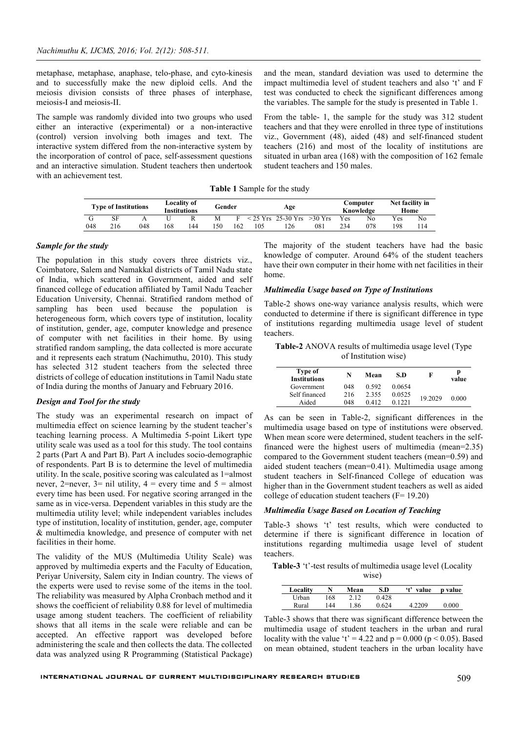metaphase, metaphase, anaphase, telo-phase, and cyto-kinesis and to successfully make the new diploid cells. And the meiosis division consists of three phases of interphase, meiosis-I and meiosis-II.

The sample was randomly divided into two groups who used either an interactive (experimental) or a non-interactive (control) version involving both images and text. The interactive system differed from the non-interactive system by the incorporation of control of pace, self-assessment questions and an interactive simulation. Student teachers then undertook with an achievement test.

and the mean, standard deviation was used to determine the impact multimedia level of student teachers and also 't' and F test was conducted to check the significant differences among the variables. The sample for the study is presented in Table 1.

From the table- 1, the sample for the study was 312 student teachers and that they were enrolled in three type of institutions viz., Government (48), aided (48) and self-financed student teachers (216) and most of the locality of institutions are situated in urban area (168) with the composition of 162 female student teachers and 150 males.

**Table 1** Sample for the study

|     | <b>Type of Institutions</b> |     | <b>Locality of</b><br>Gender<br>Age<br><b>Institutions</b> |     |    |     |     |                      |           | Computer<br>Knowledge | Net facility in<br>Home |     |     |
|-----|-----------------------------|-----|------------------------------------------------------------|-----|----|-----|-----|----------------------|-----------|-----------------------|-------------------------|-----|-----|
|     | <b>SF</b>                   |     |                                                            |     | M  |     |     | $< 25$ Yrs 25-30 Yrs | $>30$ Yrs | <b>Yes</b>            | No                      | Yes | No  |
| 048 | 216                         | 048 | 168                                                        | 144 | 50 | 162 | 105 | 126                  | 081       | 234                   | 078                     | 198 | 114 |

### *Sample for the study*

The population in this study covers three districts viz., Coimbatore, Salem and Namakkal districts of Tamil Nadu state of India, which scattered in Government, aided and self financed college of education affiliated by Tamil Nadu Teacher Education University, Chennai. Stratified random method of sampling has been used because the population is heterogeneous form, which covers type of institution, locality of institution, gender, age, computer knowledge and presence of computer with net facilities in their home. By using stratified random sampling, the data collected is more accurate and it represents each stratum (Nachimuthu, 2010). This study has selected 312 student teachers from the selected three districts of college of education institutions in Tamil Nadu state of India during the months of January and February 2016.

#### *Design and Tool for the study*

The study was an experimental research on impact of multimedia effect on science learning by the student teacher's teaching learning process. A Multimedia 5-point Likert type utility scale was used as a tool for this study. The tool contains 2 parts (Part A and Part B). Part A includes socio-demographic of respondents. Part B is to determine the level of multimedia utility. In the scale, positive scoring was calculated as 1=almost never,  $2$ =never,  $3$ = nil utility,  $4$  = every time and  $5$  = almost every time has been used. For negative scoring arranged in the same as in vice-versa. Dependent variables in this study are the multimedia utility level; while independent variables includes type of institution, locality of institution, gender, age, computer & multimedia knowledge, and presence of computer with net facilities in their home.

The validity of the MUS (Multimedia Utility Scale) was approved by multimedia experts and the Faculty of Education, Periyar University, Salem city in Indian country. The views of the experts were used to revise some of the items in the tool. The reliability was measured by Alpha Cronbach method and it shows the coefficient of reliability 0.88 for level of multimedia usage among student teachers. The coefficient of reliability shows that all items in the scale were reliable and can be accepted. An effective rapport was developed before administering the scale and then collects the data. The collected data was analyzed using R Programming (Statistical Package) The majority of the student teachers have had the basic knowledge of computer. Around 64% of the student teachers have their own computer in their home with net facilities in their home.

### *Multimedia Usage based on Type of Institutions*

Table-2 shows one-way variance analysis results, which were conducted to determine if there is significant difference in type of institutions regarding multimedia usage level of student teachers.

**Table-2** ANOVA results of multimedia usage level (Type of Institution wise)

| Type of<br><b>Institutions</b> | N   | Mean  | S.D    | F       | р<br>value |
|--------------------------------|-----|-------|--------|---------|------------|
| Government                     | 048 | 0.592 | 0.0654 |         |            |
| Self financed                  | 216 | 2.355 | 0.0525 |         |            |
| Aided                          | 048 | 0.412 | 0.1221 | 19.2029 | 0.000      |

As can be seen in Table-2, significant differences in the multimedia usage based on type of institutions were observed. When mean score were determined, student teachers in the selffinanced were the highest users of multimedia (mean=2.35) compared to the Government student teachers (mean=0.59) and aided student teachers (mean=0.41). Multimedia usage among student teachers in Self-financed College of education was higher than in the Government student teachers as well as aided college of education student teachers (F= 19.20)

### *Multimedia Usage Based on Location of Teaching*

Table-3 shows 't' test results, which were conducted to determine if there is significant difference in location of institutions regarding multimedia usage level of student teachers.

**Table-3** 't'-test results of multimedia usage level (Locality wise)

| Locality |     | Mean | S.D   | ʻt'<br>value | p value |
|----------|-----|------|-------|--------------|---------|
| Urban    | 168 | 2.12 | 0.428 |              |         |
| Rural    | 144 | 86   | 0.624 | 4.2209       | 0.000   |

Table-3 shows that there was significant difference between the multimedia usage of student teachers in the urban and rural locality with the value 't' = 4.22 and  $p = 0.000$  ( $p < 0.05$ ). Based on mean obtained, student teachers in the urban locality have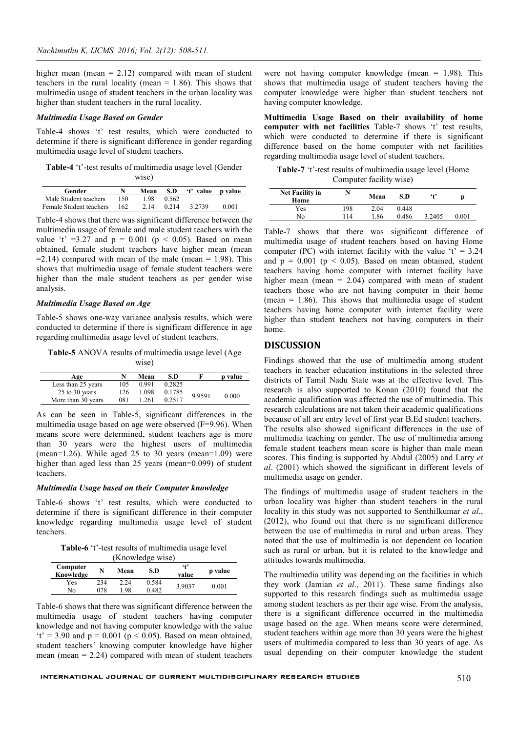higher mean (mean  $= 2.12$ ) compared with mean of student teachers in the rural locality (mean  $= 1.86$ ). This shows that multimedia usage of student teachers in the urban locality was higher than student teachers in the rural locality.

### *Multimedia Usage Based on Gender*

Table-4 shows 't' test results, which were conducted to determine if there is significant difference in gender regarding multimedia usage level of student teachers.

**Table-4** 't'-test results of multimedia usage level (Gender wise)

| Gender                  |     | Mean | S.D   | 't' value p value |       |
|-------------------------|-----|------|-------|-------------------|-------|
| Male Student teachers   | 150 | 198  | 0.562 |                   |       |
| Female Student teachers | 162 | 2.14 | 0.214 | 3 2 7 3 9         | 0.001 |

Table-4 shows that there was significant difference between the multimedia usage of female and male student teachers with the value 't' =3.27 and  $p = 0.001$  ( $p < 0.05$ ). Based on mean obtained, female student teachers have higher mean (mean  $=2.14$ ) compared with mean of the male (mean  $= 1.98$ ). This shows that multimedia usage of female student teachers were higher than the male student teachers as per gender wise analysis.

### *Multimedia Usage Based on Age*

Table-5 shows one-way variance analysis results, which were conducted to determine if there is significant difference in age regarding multimedia usage level of student teachers.

**Table-5** ANOVA results of multimedia usage level (Age wise)

| Age                | N   | Mean  | S.D    |        | p value |
|--------------------|-----|-------|--------|--------|---------|
| Less than 25 years | 105 | 0.991 | 0.2825 |        |         |
| 25 to 30 years     | 126 | 1.098 | 0.1785 | 9.9591 |         |
| More than 30 years | 081 | 1.261 | 0.2517 |        | 0.000   |

As can be seen in Table-5, significant differences in the multimedia usage based on age were observed (F=9.96). When means score were determined, student teachers age is more than 30 years were the highest users of multimedia (mean=1.26). While aged  $25$  to  $30$  years (mean=1.09) were higher than aged less than 25 years (mean=0.099) of student teachers.

#### *Multimedia Usage based on their Computer knowledge*

Table-6 shows 't' test results, which were conducted to determine if there is significant difference in their computer knowledge regarding multimedia usage level of student teachers.

**Table-6** 't'-test results of multimedia usage level

|                       | (Knowledge wise) |              |                |                              |         |  |  |  |  |
|-----------------------|------------------|--------------|----------------|------------------------------|---------|--|--|--|--|
| Computer<br>Knowledge | N                | Mean         | S.D            | $\ddot{\mathbf{f}}$<br>value | p value |  |  |  |  |
| Yes<br>No             | 234<br>078       | 2.24<br>- 98 | 0.584<br>0.482 | 3.9037                       | 0.001   |  |  |  |  |

Table-6 shows that there was significant difference between the multimedia usage of student teachers having computer knowledge and not having computer knowledge with the value 't' = 3.90 and  $p = 0.001$  ( $p < 0.05$ ). Based on mean obtained, student teachers' knowing computer knowledge have higher mean (mean  $= 2.24$ ) compared with mean of student teachers were not having computer knowledge (mean  $= 1.98$ ). This shows that multimedia usage of student teachers having the computer knowledge were higher than student teachers not having computer knowledge.

**Multimedia Usage Based on their availability of home computer with net facilities** Table-7 shows 't' test results, which were conducted to determine if there is significant difference based on the home computer with net facilities regarding multimedia usage level of student teachers.

**Table-7** 't'-test results of multimedia usage level (Home Computer facility wise)

| <b>Net Facility in</b><br>Home | N   | Mean | S.D   | $6+9$  | p     |
|--------------------------------|-----|------|-------|--------|-------|
| Yes                            | 198 | 2.04 | 0.448 |        |       |
| No                             | 114 | 1.86 | 0.486 | 3.2405 | 0.001 |

Table-7 shows that there was significant difference of multimedia usage of student teachers based on having Home computer (PC) with internet facility with the value  $t' = 3.24$ and  $p = 0.001$  ( $p < 0.05$ ). Based on mean obtained, student teachers having home computer with internet facility have higher mean (mean  $= 2.04$ ) compared with mean of student teachers those who are not having computer in their home (mean  $= 1.86$ ). This shows that multimedia usage of student teachers having home computer with internet facility were higher than student teachers not having computers in their home.

## **DISCUSSION**

Findings showed that the use of multimedia among student teachers in teacher education institutions in the selected three districts of Tamil Nadu State was at the effective level. This research is also supported to Konan (2010) found that the academic qualification was affected the use of multimedia. This research calculations are not taken their academic qualifications because of all are entry level of first year B.Ed student teachers. The results also showed significant differences in the use of multimedia teaching on gender. The use of multimedia among female student teachers mean score is higher than male mean scores. This finding is supported by Abdul (2005) and Larry *et al*. (2001) which showed the significant in different levels of multimedia usage on gender.

The findings of multimedia usage of student teachers in the urban locality was higher than student teachers in the rural locality in this study was not supported to Senthilkumar *et al*., (2012), who found out that there is no significant difference between the use of multimedia in rural and urban areas. They noted that the use of multimedia is not dependent on location such as rural or urban, but it is related to the knowledge and attitudes towards multimedia.

The multimedia utility was depending on the facilities in which they work (Jamian *et al*., 2011). These same findings also supported to this research findings such as multimedia usage among student teachers as per their age wise. From the analysis, there is a significant difference occurred in the multimedia usage based on the age. When means score were determined, student teachers within age more than 30 years were the highest users of multimedia compared to less than 30 years of age. As usual depending on their computer knowledge the student